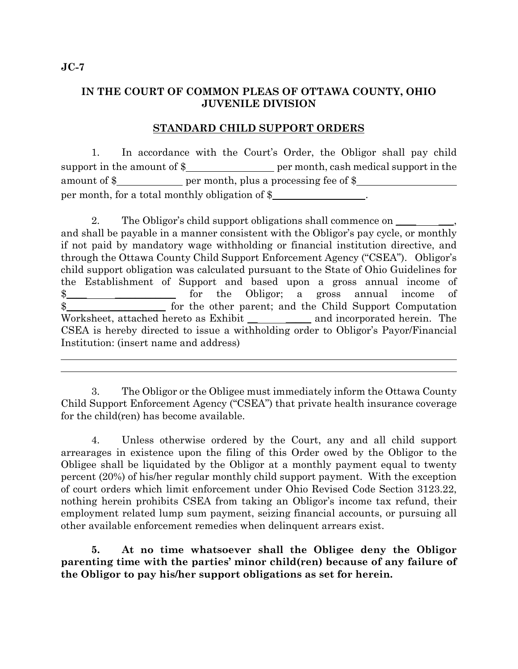## **IN THE COURT OF COMMON PLEAS OF OTTAWA COUNTY, OHIO JUVENILE DIVISION**

## **STANDARD CHILD SUPPORT ORDERS**

1. In accordance with the Court's Order, the Obligor shall pay child support in the amount of  $\frac{1}{2}$  per month, cash medical support in the amount of  $\frac{1}{2}$  per month, plus a processing fee of  $\frac{1}{2}$ per month, for a total monthly obligation of \$

2. The Obligor's child support obligations shall commence on \_\_\_\_\_\_\_\_ and shall be payable in a manner consistent with the Obligor's pay cycle, or monthly if not paid by mandatory wage withholding or financial institution directive, and through the Ottawa County Child Support Enforcement Agency ("CSEA"). Obligor's child support obligation was calculated pursuant to the State of Ohio Guidelines for the Establishment of Support and based upon a gross annual income of \$\_\_\_\_ \_\_\_\_\_\_\_\_\_\_\_\_ for the Obligor; a gross annual income of \$ Worksheet, attached hereto as Exhibit \_\_\_\_\_\_\_\_\_\_\_ and incorporated herein. The CSEA is hereby directed to issue a withholding order to Obligor's Payor/Financial Institution: (insert name and address)

3. The Obligor or the Obligee must immediately inform the Ottawa County Child Support Enforcement Agency ("CSEA") that private health insurance coverage for the child(ren) has become available.

4. Unless otherwise ordered by the Court, any and all child support arrearages in existence upon the filing of this Order owed by the Obligor to the Obligee shall be liquidated by the Obligor at a monthly payment equal to twenty percent (20%) of his/her regular monthly child support payment. With the exception of court orders which limit enforcement under Ohio Revised Code Section 3123.22, nothing herein prohibits CSEA from taking an Obligor's income tax refund, their employment related lump sum payment, seizing financial accounts, or pursuing all other available enforcement remedies when delinquent arrears exist.

**5. At no time whatsoever shall the Obligee deny the Obligor parenting time with the parties' minor child(ren) because of any failure of the Obligor to pay his/her support obligations as set for herein.** 

 $\overline{a}$ l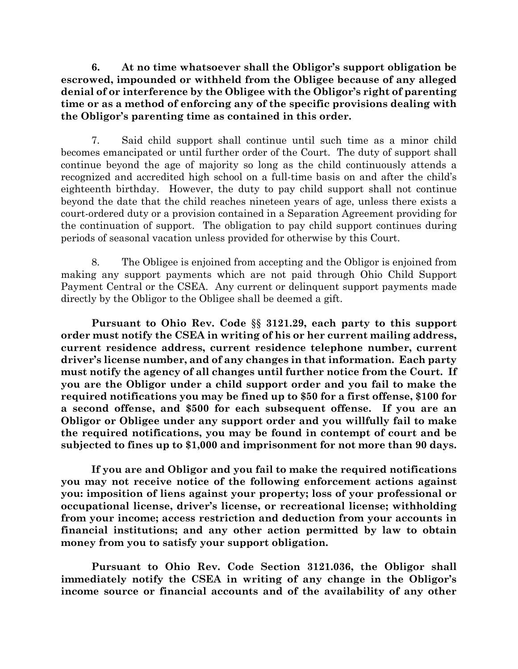**6. At no time whatsoever shall the Obligor's support obligation be escrowed, impounded or withheld from the Obligee because of any alleged denial of or interference by the Obligee with the Obligor's right of parenting time or as a method of enforcing any of the specific provisions dealing with the Obligor's parenting time as contained in this order.** 

7. Said child support shall continue until such time as a minor child becomes emancipated or until further order of the Court. The duty of support shall continue beyond the age of majority so long as the child continuously attends a recognized and accredited high school on a full-time basis on and after the child's eighteenth birthday. However, the duty to pay child support shall not continue beyond the date that the child reaches nineteen years of age, unless there exists a court-ordered duty or a provision contained in a Separation Agreement providing for the continuation of support. The obligation to pay child support continues during periods of seasonal vacation unless provided for otherwise by this Court.

8. The Obligee is enjoined from accepting and the Obligor is enjoined from making any support payments which are not paid through Ohio Child Support Payment Central or the CSEA. Any current or delinquent support payments made directly by the Obligor to the Obligee shall be deemed a gift.

**Pursuant to Ohio Rev. Code** §§ **3121.29, each party to this support order must notify the CSEA in writing of his or her current mailing address, current residence address, current residence telephone number, current driver's license number, and of any changes in that information. Each party must notify the agency of all changes until further notice from the Court. If you are the Obligor under a child support order and you fail to make the required notifications you may be fined up to \$50 for a first offense, \$100 for a second offense, and \$500 for each subsequent offense. If you are an Obligor or Obligee under any support order and you willfully fail to make the required notifications, you may be found in contempt of court and be subjected to fines up to \$1,000 and imprisonment for not more than 90 days.** 

**If you are and Obligor and you fail to make the required notifications you may not receive notice of the following enforcement actions against you: imposition of liens against your property; loss of your professional or occupational license, driver's license, or recreational license; withholding from your income; access restriction and deduction from your accounts in financial institutions; and any other action permitted by law to obtain money from you to satisfy your support obligation.** 

**Pursuant to Ohio Rev. Code Section 3121.036, the Obligor shall immediately notify the CSEA in writing of any change in the Obligor's income source or financial accounts and of the availability of any other**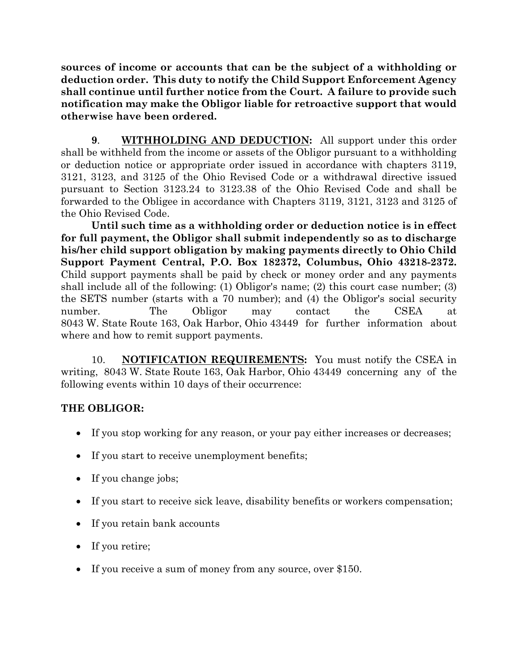**sources of income or accounts that can be the subject of a withholding or deduction order. This duty to notify the Child Support Enforcement Agency shall continue until further notice from the Court. A failure to provide such notification may make the Obligor liable for retroactive support that would otherwise have been ordered.** 

 **9**. **WITHHOLDING AND DEDUCTION:** All support under this order shall be withheld from the income or assets of the Obligor pursuant to a withholding or deduction notice or appropriate order issued in accordance with chapters 3119, 3121, 3123, and 3125 of the Ohio Revised Code or a withdrawal directive issued pursuant to Section 3123.24 to 3123.38 of the Ohio Revised Code and shall be forwarded to the Obligee in accordance with Chapters 3119, 3121, 3123 and 3125 of the Ohio Revised Code.

**Until such time as a withholding order or deduction notice is in effect for full payment, the Obligor shall submit independently so as to discharge his/her child support obligation by making payments directly to Ohio Child Support Payment Central, P.O. Box 182372, Columbus, Ohio 43218-2372.** Child support payments shall be paid by check or money order and any payments shall include all of the following: (1) Obligor's name; (2) this court case number; (3) the SETS number (starts with a 70 number); and (4) the Obligor's social security number. The Obligor may contact the CSEA at 8043 W. State Route 163, Oak Harbor, Ohio 43449 for further information about where and how to remit support payments.

10. **NOTIFICATION REQUIREMENTS:** You must notify the CSEA in writing, 8043 W. State Route 163, Oak Harbor, Ohio 43449 concerning any of the following events within 10 days of their occurrence:

## **THE OBLIGOR:**

- If you stop working for any reason, or your pay either increases or decreases;
- If you start to receive unemployment benefits;
- If you change jobs;
- If you start to receive sick leave, disability benefits or workers compensation;
- If you retain bank accounts
- If you retire;
- If you receive a sum of money from any source, over \$150.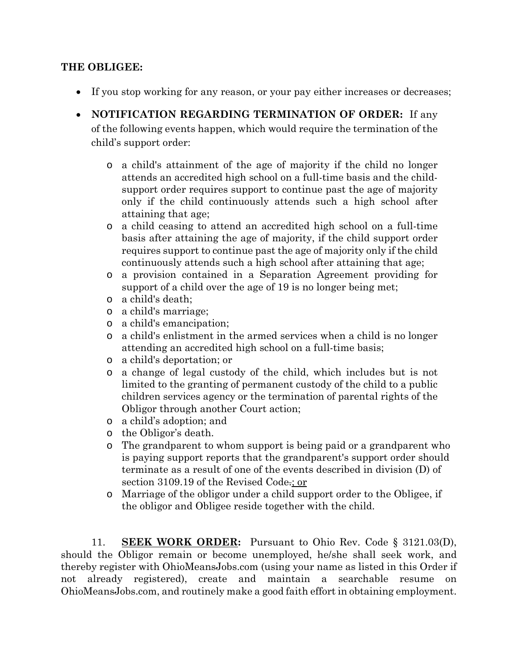## **THE OBLIGEE:**

- If you stop working for any reason, or your pay either increases or decreases;
- **NOTIFICATION REGARDING TERMINATION OF ORDER:** If any of the following events happen, which would require the termination of the child's support order:
	- o a child's attainment of the age of majority if the child no longer attends an accredited high school on a full-time basis and the childsupport order requires support to continue past the age of majority only if the child continuously attends such a high school after attaining that age;
	- o a child ceasing to attend an accredited high school on a full-time basis after attaining the age of majority, if the child support order requires support to continue past the age of majority only if the child continuously attends such a high school after attaining that age;
	- o a provision contained in a Separation Agreement providing for support of a child over the age of 19 is no longer being met;
	- o a child's death;
	- o a child's marriage;
	- o a child's emancipation;
	- o a child's enlistment in the armed services when a child is no longer attending an accredited high school on a full-time basis;
	- o a child's deportation; or
	- o a change of legal custody of the child, which includes but is not limited to the granting of permanent custody of the child to a public children services agency or the termination of parental rights of the Obligor through another Court action;
	- o a child's adoption; and
	- o the Obligor's death.
	- o The grandparent to whom support is being paid or a grandparent who is paying support reports that the grandparent's support order should terminate as a result of one of the events described in division (D) of section 3109.19 of the Revised Code.; or
	- o Marriage of the obligor under a child support order to the Obligee, if the obligor and Obligee reside together with the child.

11. **SEEK WORK ORDER:** Pursuant to Ohio Rev. Code § 3121.03(D), should the Obligor remain or become unemployed, he/she shall seek work, and thereby register with OhioMeansJobs.com (using your name as listed in this Order if not already registered), create and maintain a searchable resume on OhioMeansJobs.com, and routinely make a good faith effort in obtaining employment.